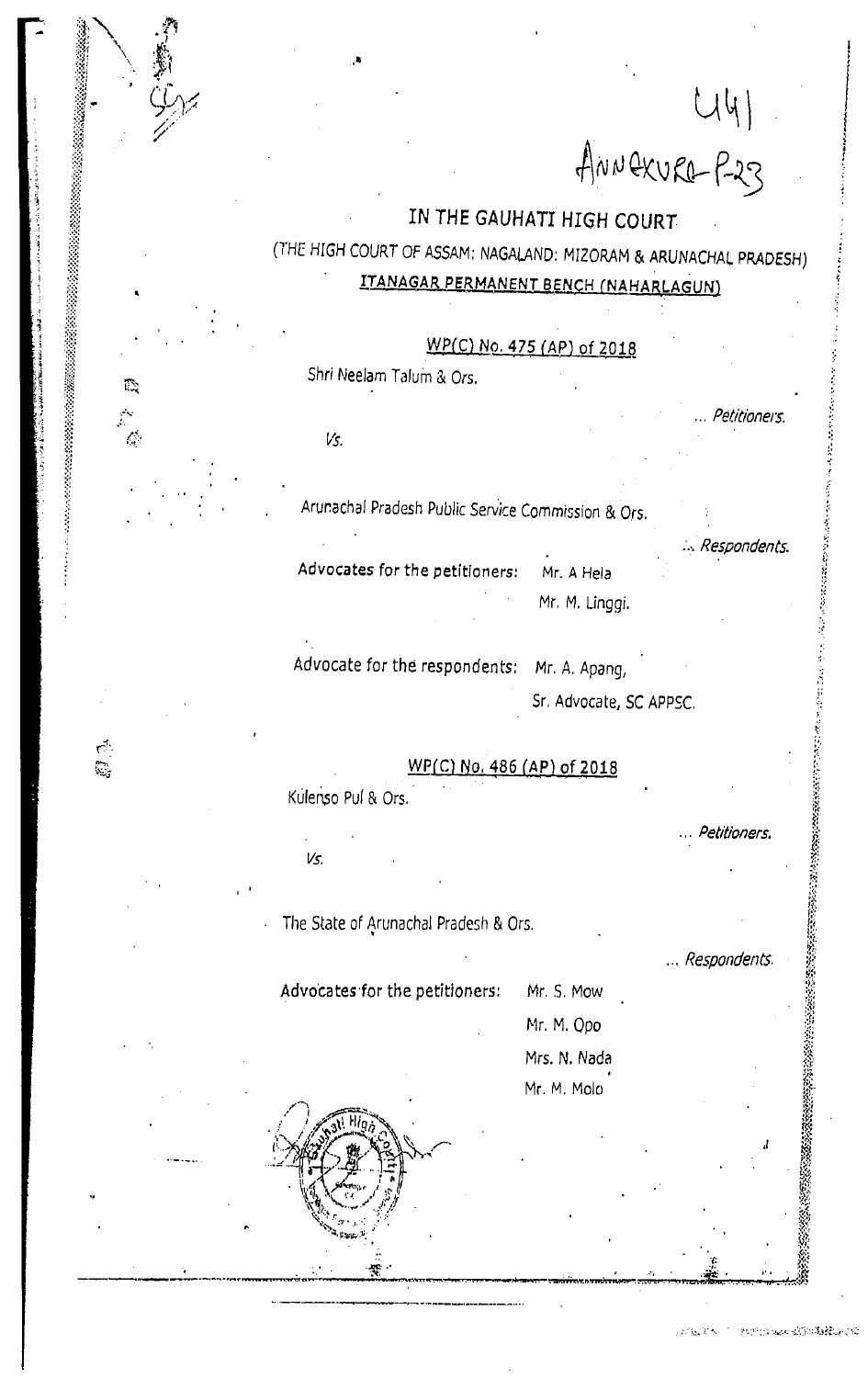44)<br>ANNEXURE-P-23

Petirioners.

● 第222222

### IN THE GAUHATI HIGH COURT

## (THE HIGH COURT OF ASSAM: NAGALAND: MIZORAM & ARUNACHAL PRADESH) ITANAGAR PERMANENT BENCH (NAHARLAGUN)

WP(C) No. 475 (AP) of 2018

Shri Neelam Talum & Ors.

Vs.

Q.

 $\mathcal{L}_\mathrm{c}$ 

 $\frac{1}{\sqrt{2}}$ 

्<br>शि

Arunachal Pradesh Public Service Commission & Ors.

: Respondents. Advocates for the petitioners: Mr. A Hela Mr. M. Linggi.

Advocate for the respondents: Mr. A. Apang,

Sr. Advocate, SC APPSC.

WP(C) No. 486 (AP) of 2018 Kulenso Pul & Ors.

Vs.

The State of Arunachal Pradesh & Ors.

... Respondents.

Petitioners.

Advocates for the petitioners: Mr. S. Mow

Mr. M. Opo Mrs. N. Nada

Mr. M. Molo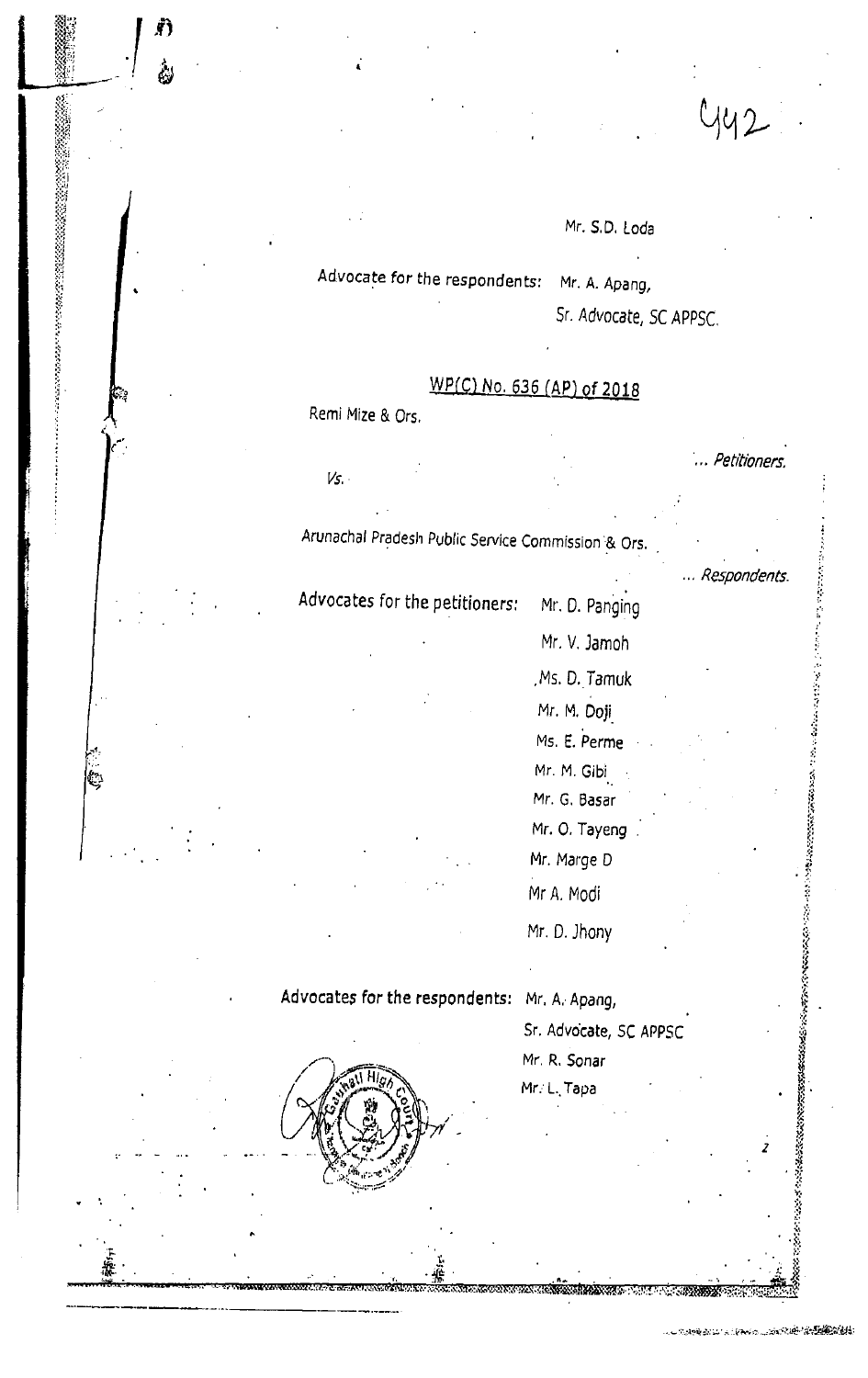Mr. S.D. Loda

Advocate for the respondents: Mr. A. Apang,

Sr. Advocate, SC APPSC.

## WP(C) No. 636 (AP) of 2018

Remi Mize & Ors.

 $Vs$ .

h.

.. Petitioners.

... Respondents.

 $442$ 

Arunachal Pradesh Public Service Commission & Ors.

Advocates for the petitioners: Mr. D. Panging

> Mr. V. Jamoh Ms. D. Tamuk Mr. M. Doji Ms. E. Perme Mr. M. Gibi Mr. G. Basar Mr. O. Tayeng Mr. Marge D

Advocates for the respondents: Mr. A. Apang,

Sr. Advocate, SC APPSC

Mr. R. Sonar

Mr A. Modi

Mr. D. Jhony

Mr. L. Tapa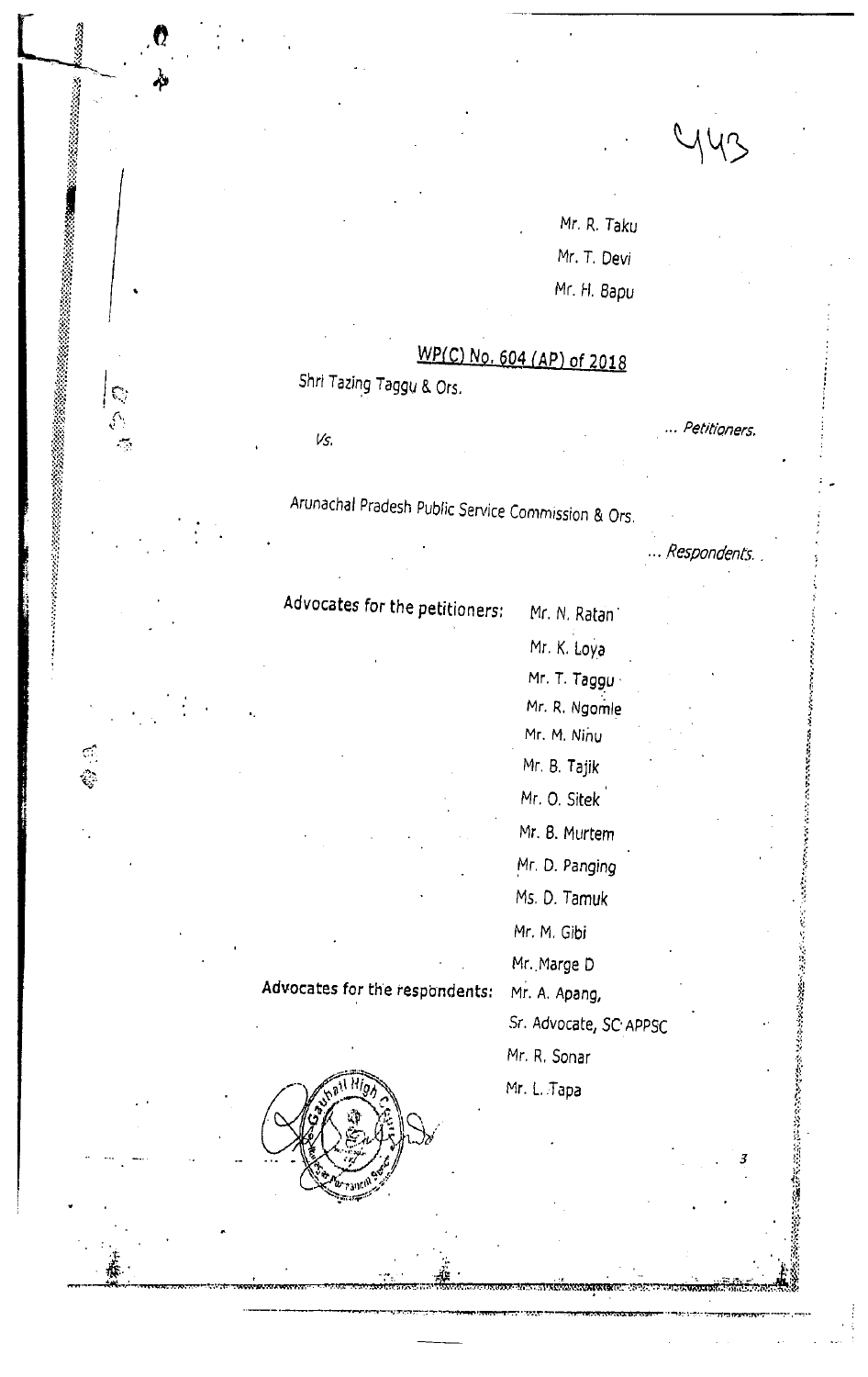| $M_{\text{M}}$ |
|----------------|
|                |

Mr. R. Taku Mr. T. Devi Mr. H. Bapu

# WP(C) No. 604 (AP) of 2018

Shri Tazing Taggu & Ors.

Vs.

<u>دند ده ۷</u>

**Broadward Market** 

 $\mathbb{C}$ 

 $\mathbb{C}$   $\mathbb{C}$ 

Petitioners.

Respondents

**には皮膚は少ないのかいのかないというから、こうしょうのかののの皮膚からのかいののか**、その人に、このからしろからころなど、こころ、それはこの皮膚は、

Arunachal Pradesh Public Service Commission & Ors.

Advocates for the petitioners:

Advocates for the respondents:

Mr. N. Ratan Mr. K. Loya Mr. T. Taggu Mr. R. Ngomle Mr. M. Ninu Mr. B. Tajik Mr. O. Sitek Mr. B. Murtem Mr. D. Panging Ms. D. Tamuk Mr. M. Gibi Mr. Marge D

Mr. A. Apang,

Sr. Advocate, SC APPSC

Mr. R. Sonar

Mr. L. Tapa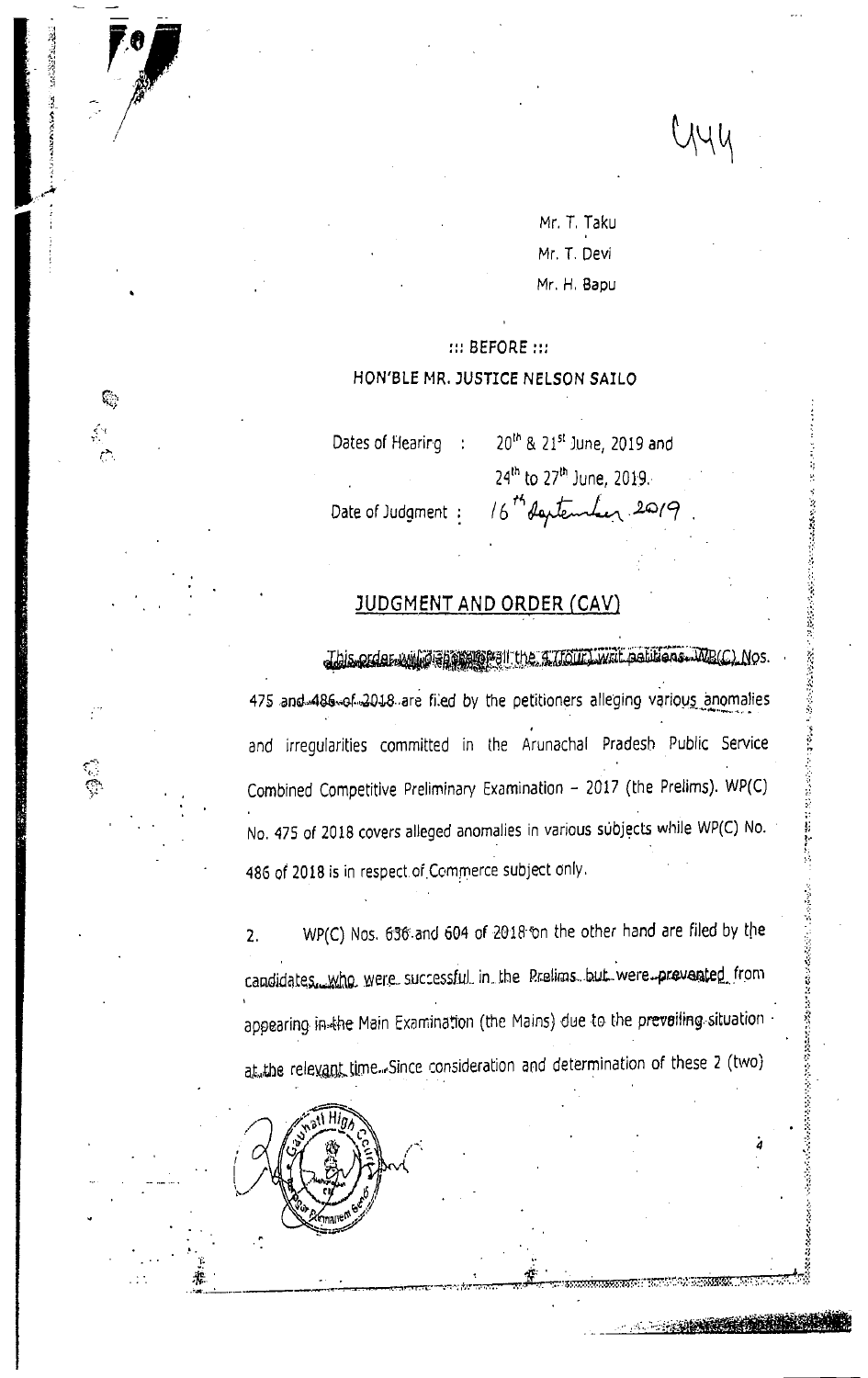YYU

了,我必要都是最后的比较级的感觉,我们,我们的问题是,我们的人们的问题,我们的,我们的,我们一个问题也不能让,你就会感到感觉,我们的感觉,我们的情况就会不会会会会会会会会会会会会会会会会会会会会会会会

Mr. T. Taku Mr. T. Devi Mr. H. Bapu

### ::: BEFORE ::: HON'BLE MR. JUSTICE NELSON SAILO

Dates of Hearing :

Ç,

ි

20<sup>th</sup> & 21<sup>st</sup> June, 2019 and 24<sup>th</sup> to 27<sup>th</sup> June, 2019. 16th deptember 2019

Date of Judqment :

#### **JUDGMENT AND ORDER (CAV)**

Jbis order will a show the LIGHT write abitions. MB(C) Nos 475 and 486 of 2018 are filed by the petitioners alleging various anomalies and irregularities committed in the Arunachal Pradesh Public Service Combined Competitive Preliminary Examination - 2017 (the Prelims). WP(C) No. 475 of 2018 covers alleged anomalies in various subjects while WP(C) No. 486 of 2018 is in respect of Commerce subject only.

WP(C) Nos. 636 and 604 of 2018 on the other hand are filed by the  $2.$ candidates. Who were successful in the Prelims but were prevented from appearing in the Main Examination (the Mains) due to the prevailing situation at the relevant time. Since consideration and determination of these 2 (two)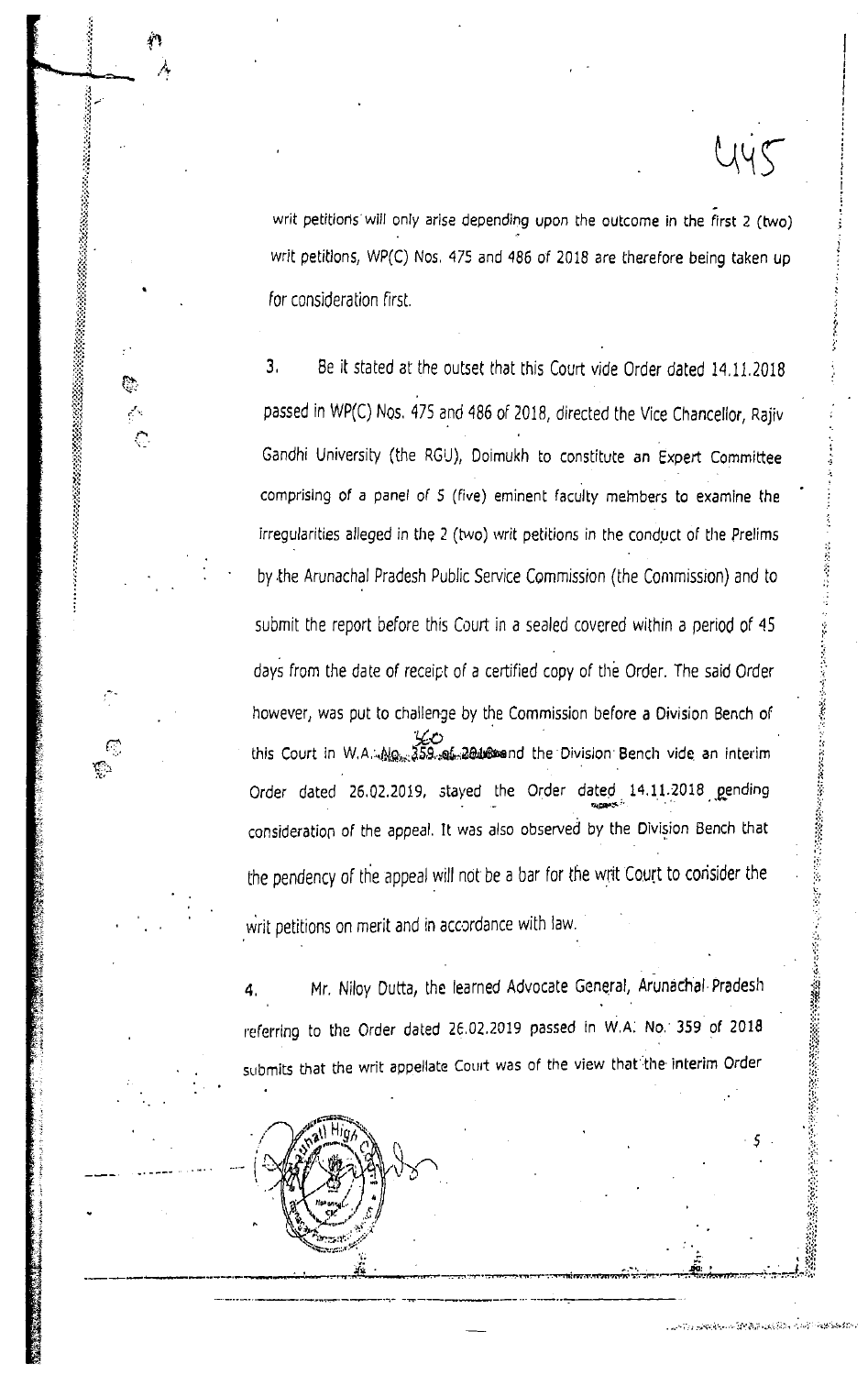writ petitions will only arise depending upon the outcome in the first 2 (two) writ petitions, WP(C) Nos. 475 and 486 of 2018 are therefore being taken up for consideration first.

 $2445$ 

3. Be it stated at the outset that this Court vide Order dated 14.11.2018 passed in WP(C) Nos. 475 and 486 of 2018, directed the Vice Chancellor, Rajiv Gandhi University (the RGU), Doimukh to constitute an Expert Committee comprising of a panel of 5 (five) eminent faculty members to examine the irregularities alleged in the 2 (two) writ petitions in the conduct of the Prelims by the Arunachal Pradesh Public Service Commission (the Commission) and to submit the report before this Court in a sealed covered within a period of 45 days from the date of receipt of a certified copy of the Order. The said Order however, was put to challenge by the Commission before a Division Bench of this Court in W.A. No. 359. af 2018 and the Division Bench vide an interim Order dated 26.02.2019, stayed the Order dated 14.11.2018 gending consideration of the appeal. It was also observed by the Division Bench that the pendency of the appeal will not be a bar for the writ Court to consider the writ petitions on merit and in accordance with law.

Mr. Niloy Dutta, the learned Advocate General, Arunachal Pradesh referring to the Order dated 26.02.2019 passed in W.A. No. 359 of 2018 submits that the writ appellate Court was of the view that the interim Order



ि

Ç⊇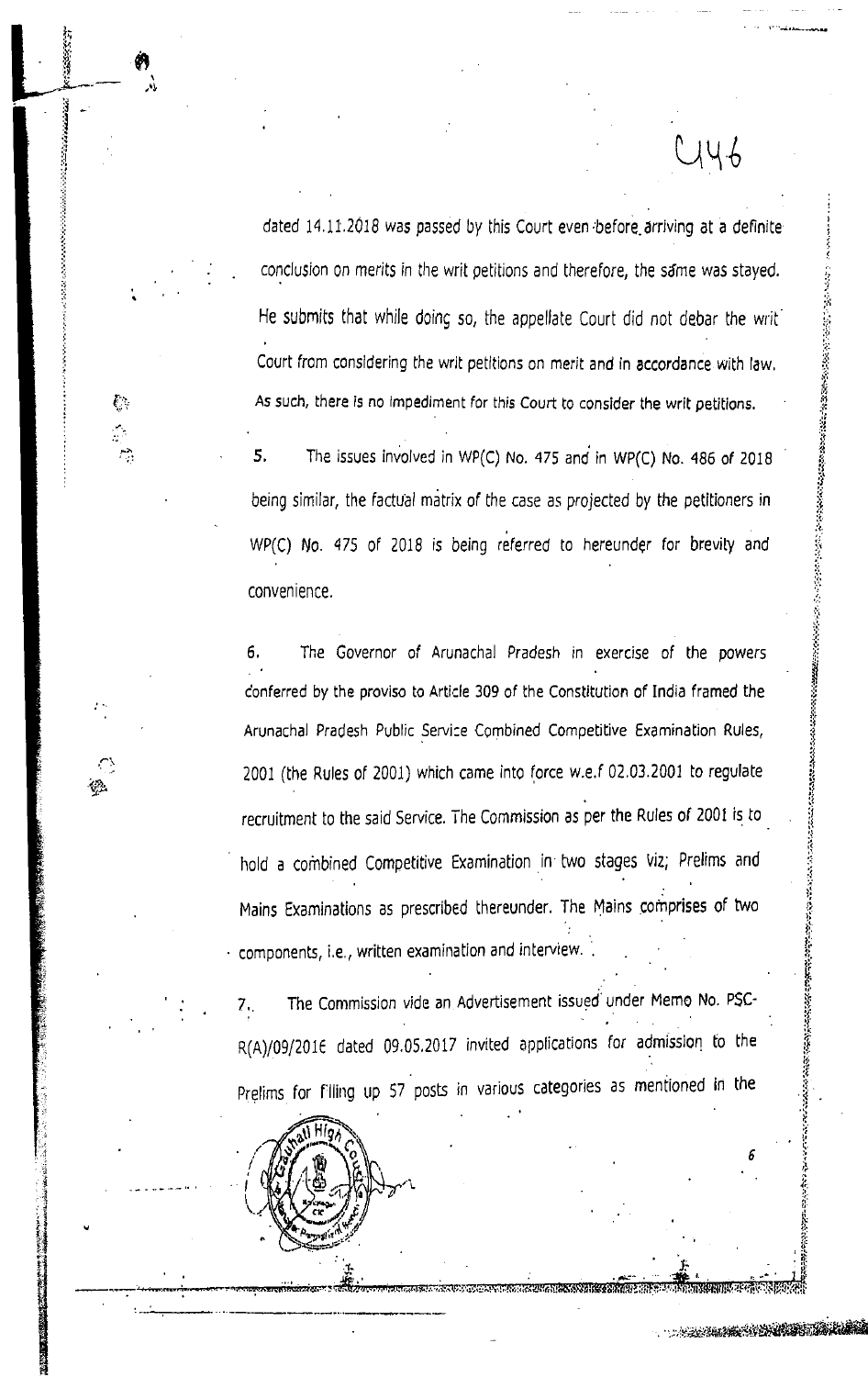dated 14.11.2018 was passed by this Court even before arriving at a definite conclusion on merits in the writ petitions and therefore, the same was stayed. He submits that while doing so, the appellate Court did not debar the writ Court from considering the writ petitions on merit and in accordance with law. As such, there is no impediment for this Court to consider the writ petitions.

YY 6

A START OF BUILDING

5. The issues involved in WP(C) No. 475 and in WP(C) No. 486 of 2018 being similar, the factual matrix of the case as projected by the petitioners in WP(C) No. 475 of 2018 is being referred to hereunder for brevity and convenience.

ę.

6. The Governor of Arunachal Pradesh in exercise of the powers conferred by the proviso to Article 309 of the Constitution of India framed the Arunachal Pradesh Public Service Combined Competitive Examination Rules, 2001 (the Rules of 2001) which came into force w.e.f 02.03.2001 to regulate recruitment to the said Service. The Commission as per the Rules of 2001 is to hold a combined Competitive Examination in two stages viz; Prelims and Mains Examinations as prescribed thereunder. The Mains comprises of two components, i.e., written examination and interview.

The Commission vide an Advertisement issued under Memo No. PSC- $7<sub>1</sub>$ R(A)/09/2016 dated 09.05.2017 invited applications for admission to the Prelims for filling up 57 posts in various categories as mentioned in the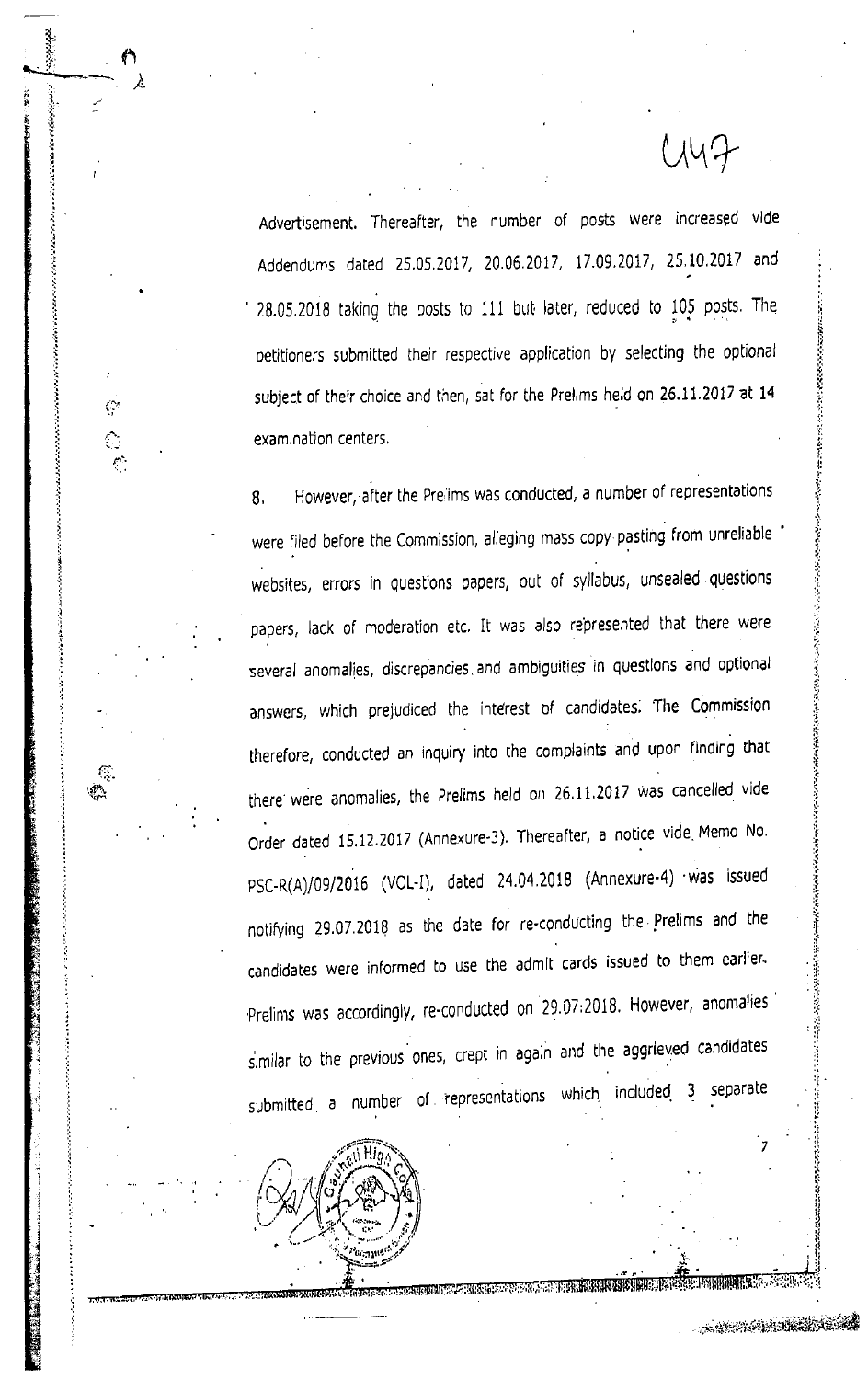Advertisement. Thereafter, the number of posts were increased vide Addendums dated 25.05.2017, 20.06.2017, 17.09.2017, 25.10.2017 and 28.05.2018 taking the posts to 111 but later, reduced to 105 posts. The petitioners submitted their respective application by selecting the optional subject of their choice and then, sat for the Prelims held on 26.11.2017 at 14 examination centers.

 $UV7$ 

e Service P

 $\mathcal{C}^{\infty}$ 

 $\mathbb{C}$ 

However, after the Prelims was conducted, a number of representations 8. were filed before the Commission, alleging mass copy pasting from unreliable websites, errors in questions papers, out of syllabus, unsealed questions papers, lack of moderation etc. It was also represented that there were several anomalies, discrepancies and ambiguities in questions and optional answers, which prejudiced the interest of candidates. The Commission therefore, conducted an inquiry into the complaints and upon finding that there were anomalies, the Prelims held on 26.11.2017 was cancelled vide Order dated 15.12.2017 (Annexure-3). Thereafter, a notice vide Memo No. PSC-R(A)/09/2016 (VOL-I), dated 24.04.2018 (Annexure-4) was issued notifying 29.07.2018 as the date for re-conducting the Prelims and the candidates were informed to use the admit cards issued to them earlier. Prelims was accordingly, re-conducted on 29.07:2018. However, anomalies similar to the previous ones, crept in again and the aggrieved candidates submitted a number of representations which included 3 separate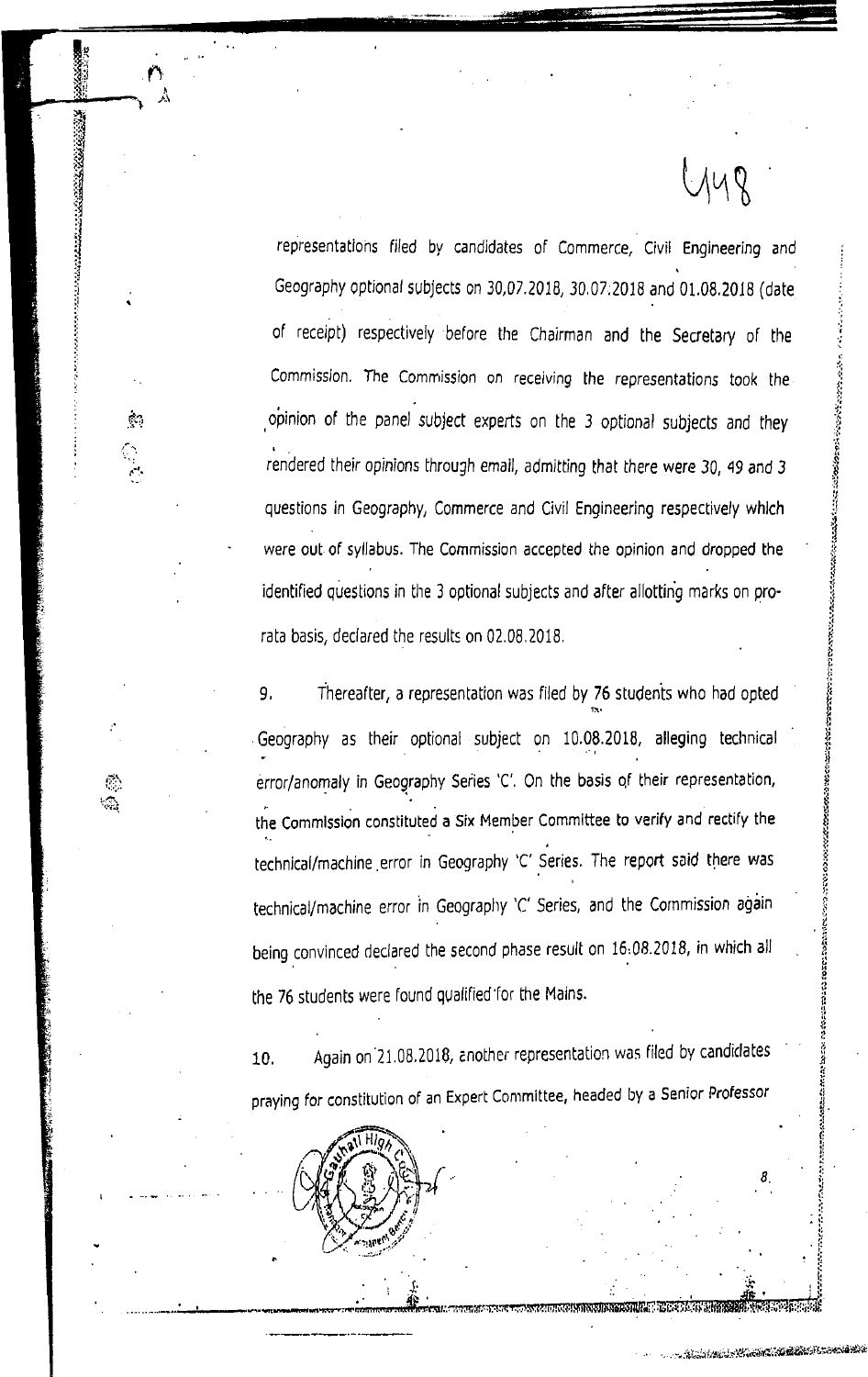representations filed by candidates of Commerce, Civil Engineering and Geography optional subjects on 30,07.2018, 30.07:2018 and 01.08.2018 (date of receipt) respectively before the Chairman and the Secretary of the Commission. The Commission on receiving the representations took the opinion of the panel subject experts on the 3 optional subjects and they rendered their opinions through email, admitting that there were 30, 49 and 3 questions in Geography, Commerce and Civil Engineering respectively which were out of syllabus. The Commission accepted the opinion and dropped the identified questions in the 3 optional subjects and after allotting marks on prorata basis, declared the results on 02.08.2018.

**ALCOHOLOGICAL SCIENCIS** 

9. Thereafter, a representation was filed by 76 students who had opted Geography as their optional subject on 10.08.2018, alleging technical error/anomaly in Geography Series 'C'. On the basis of their representation, the Commission constituted a Six Member Committee to verify and rectify the technical/machine error in Geography 'C' Series. The report said there was technical/machine error in Geography 'C' Series, and the Commission again being convinced declared the second phase result on 16.08.2018, in which all the 76 students were found qualified for the Mains.

Again on 21.08.2018, another representation was filed by candidates 10. praying for constitution of an Expert Committee, headed by a Senior Professor



 $\sim$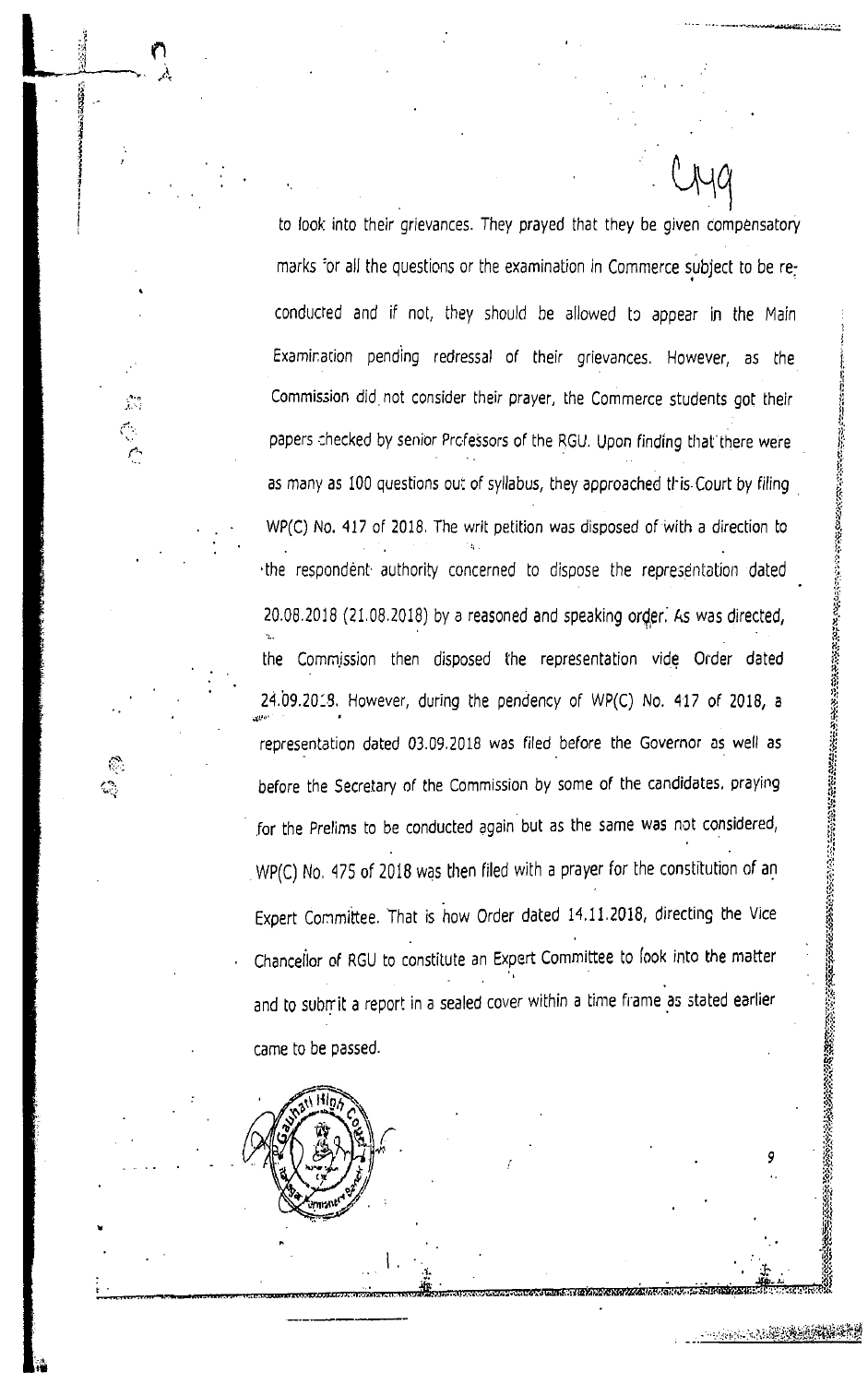to look into their grievances. They prayed that they be given compensatory marks for all the questions or the examination in Commerce subject to be reconducted and if not, they should be allowed to appear in the Main Examination pending redressal of their grievances. However, as the Commission did not consider their prayer, the Commerce students got their papers checked by senior Professors of the RGU. Upon finding that there were as many as 100 questions out of syllabus, they approached this Court by filing WP(C) No. 417 of 2018. The writ petition was disposed of with a direction to the respondent authority concerned to dispose the representation dated 20.08.2018 (21.08.2018) by a reasoned and speaking order. As was directed, the Commission then disposed the representation vide Order dated 24.09.2013. However, during the pendency of WP(C) No. 417 of 2018, a representation dated 03.09.2018 was filed before the Governor as well as before the Secretary of the Commission by some of the candidates, praying for the Prelims to be conducted again but as the same was not considered, WP(C) No. 475 of 2018 was then filed with a prayer for the constitution of an Expert Committee. That is how Order dated 14.11.2018, directing the Vice Chancellor of RGU to constitute an Expert Committee to look into the matter and to submit a report in a sealed cover within a time frame as stated earlier came to be passed.

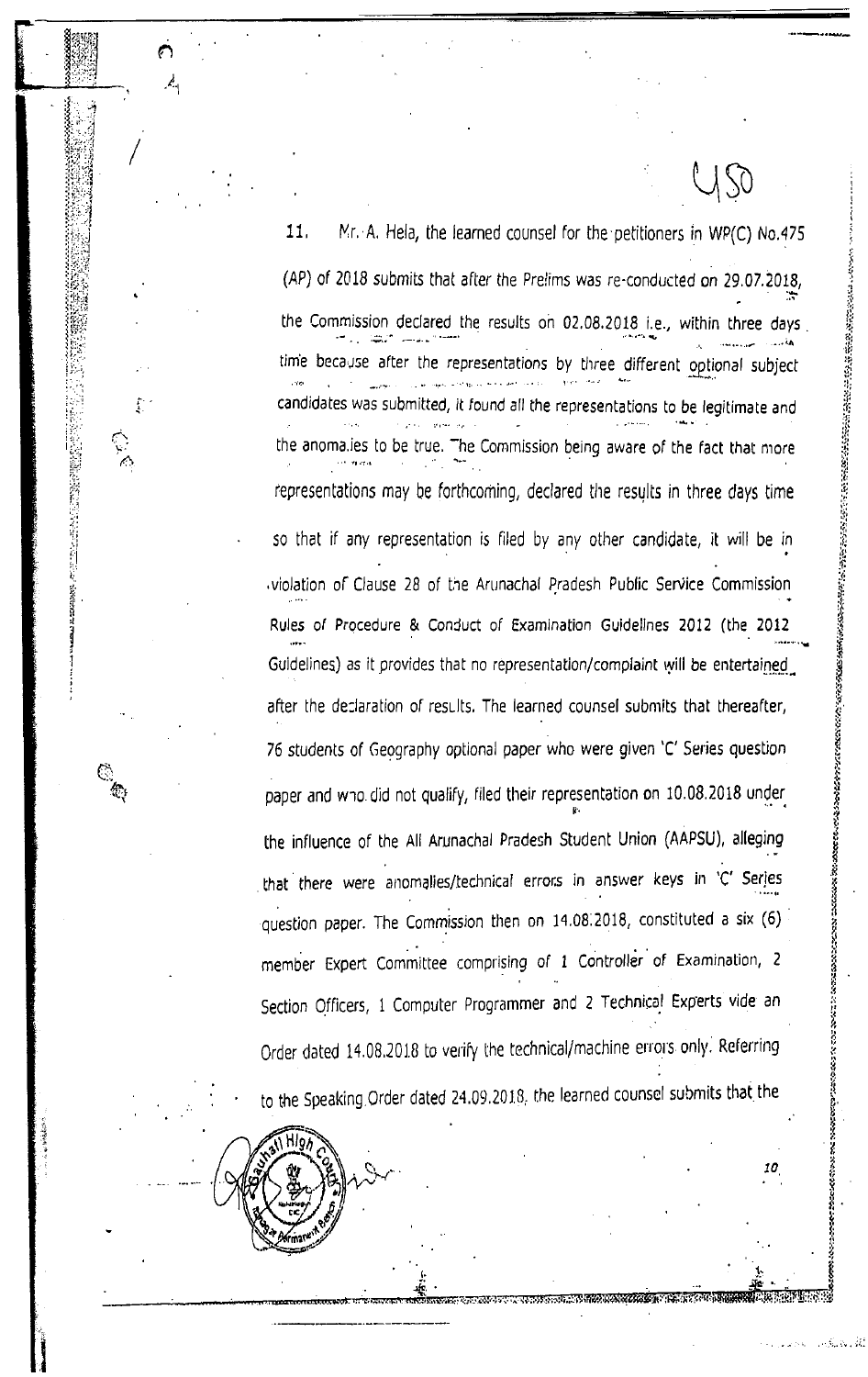11. Mr. A. Hela, the learned counsel for the petitioners in WP(C) No.475 (AP) of 2018 submits that after the Prelims was re-conducted on 29.07.2018, the Commission declared the results on 02.08.2018 i.e., within three days time because after the representations by three different optional subject candidates was submitted, it found all the representations to be legitimate and  $\sim 100$  $\mathcal{L}^{(1)}$ **State State** the anomalies to be true. The Commission being aware of the fact that more representations may be forthcoming, declared the results in three days time so that if any representation is filed by any other candidate, it will be in violation of Clause 28 of the Arunachal Pradesh Public Service Commission Rules of Procedure & Conduct of Examination Guidelines 2012 (the 2012 Guidelines) as it provides that no representation/complaint will be entertained after the declaration of results. The learned counsel submits that thereafter, 76 students of Geography optional paper who were given 'C' Series question paper and who did not qualify, filed their representation on 10.08.2018 under the influence of the All Arunachal Pradesh Student Union (AAPSU), alleging that there were anomalies/technical errors in answer keys in 'C' Series question paper. The Commission then on 14.08.2018, constituted a six (6) member Expert Committee comprising of 1 Controller of Examination, 2 Section Officers, 1 Computer Programmer and 2 Technical Experts vide an Order dated 14.08.2018 to verify the technical/machine errors only. Referring to the Speaking Order dated 24.09.2018, the learned counsel submits that the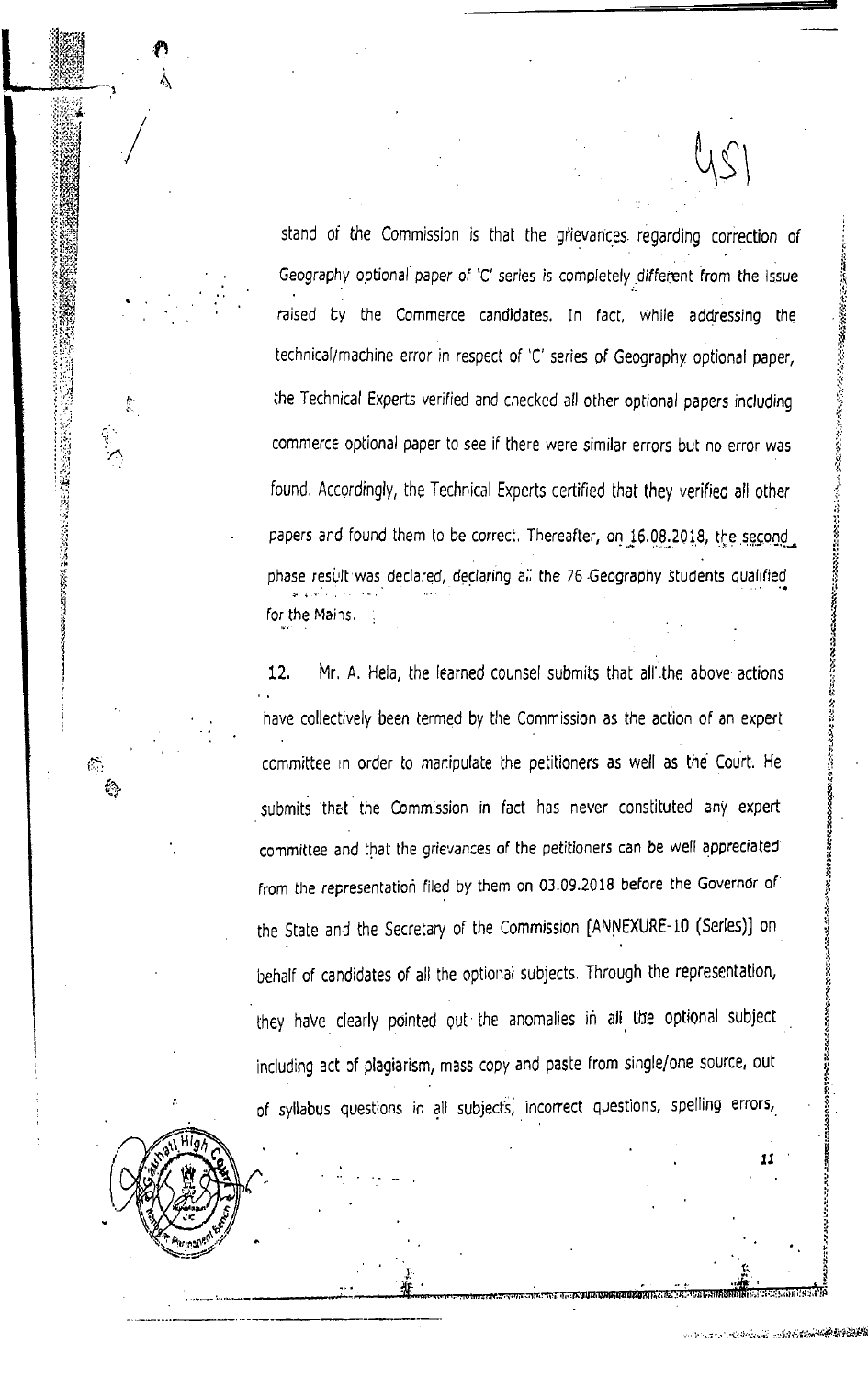stand of the Commission is that the grievances regarding correction of Geography optional paper of 'C' series is completely different from the issue raised by the Commerce candidates. In fact, while addressing the technical/machine error in respect of 'C' series of Geography optional paper, the Technical Experts verified and checked all other optional papers including commerce optional paper to see if there were similar errors but no error was found. Accordingly, the Technical Experts certified that they verified all other papers and found them to be correct. Thereafter, on 16.08.2018, the second phase result was declared, declaring all the 76 Geography students qualified for the Mains.

Mr. A. Hela, the learned counsel submits that all the above actions 12. have collectively been termed by the Commission as the action of an expert committee in order to manipulate the petitioners as well as the Court. He submits that the Commission in fact has never constituted any expert committee and that the grievances of the petitioners can be well appreciated from the representation filed by them on 03.09.2018 before the Governor of the State and the Secretary of the Commission [ANNEXURE-10 (Series)] on behalf of candidates of all the optional subjects. Through the representation, they have clearly pointed out the anomalies in all the optional subject including act of plagiarism, mass copy and paste from single/one source, out of syllabus questions in all subjects, incorrect questions, spelling errors,



 $\label{eq:zeta} \gamma_{\rm s} \approx 2.$ 

**BARTA LANG**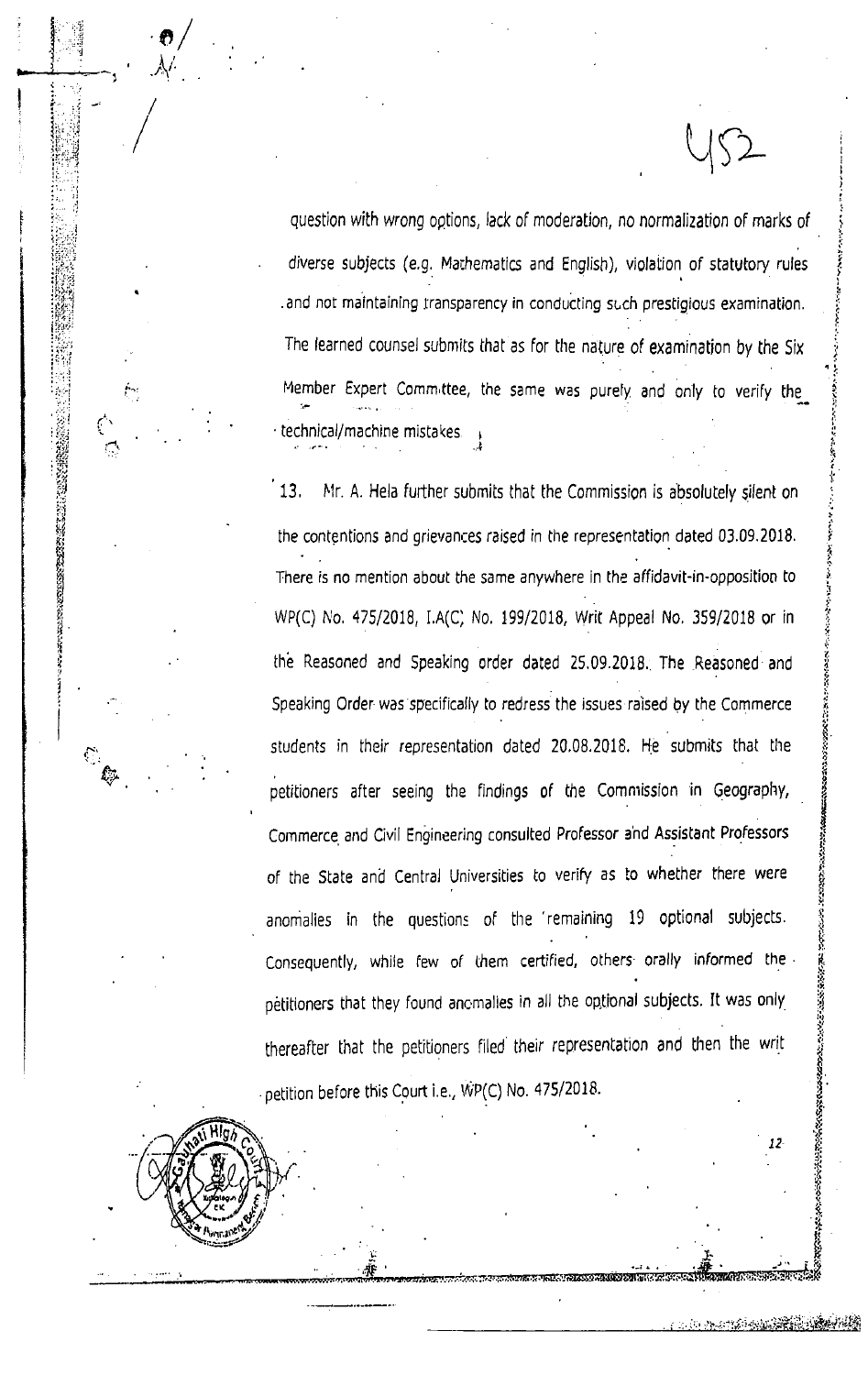question with wrong options, lack of moderation, no normalization of marks of diverse subjects (e.g. Mathematics and English), violation of statutory rules and not maintaining transparency in conducting such prestigious examination. The learned counsel submits that as for the nature of examination by the Six Member Expert Committee, the same was purely and only to verify the technical/machine mistakes

13. Mr. A. Hela further submits that the Commission is absolutely silent on the contentions and grievances raised in the representation dated 03.09.2018. There is no mention about the same anywhere in the affidavit-in-opposition to WP(C) No. 475/2018, I.A(C) No. 199/2018, Writ Appeal No. 359/2018 or in the Reasoned and Speaking order dated 25.09.2018. The Reasoned and Speaking Order was specifically to redress the issues raised by the Commerce students in their representation dated 20.08.2018. He submits that the petitioners after seeing the findings of the Commission in Geography, Commerce and Civil Engineering consulted Professor and Assistant Professors of the State and Central Universities to verify as to whether there were anomalies in the questions of the remaining 19 optional subjects. Consequently, while few of them certified, others orally informed the petitioners that they found anomalies in all the optional subjects. It was only thereafter that the petitioners filed their representation and then the writ petition before this Court i.e., WP(C) No. 475/2018.

Ç

12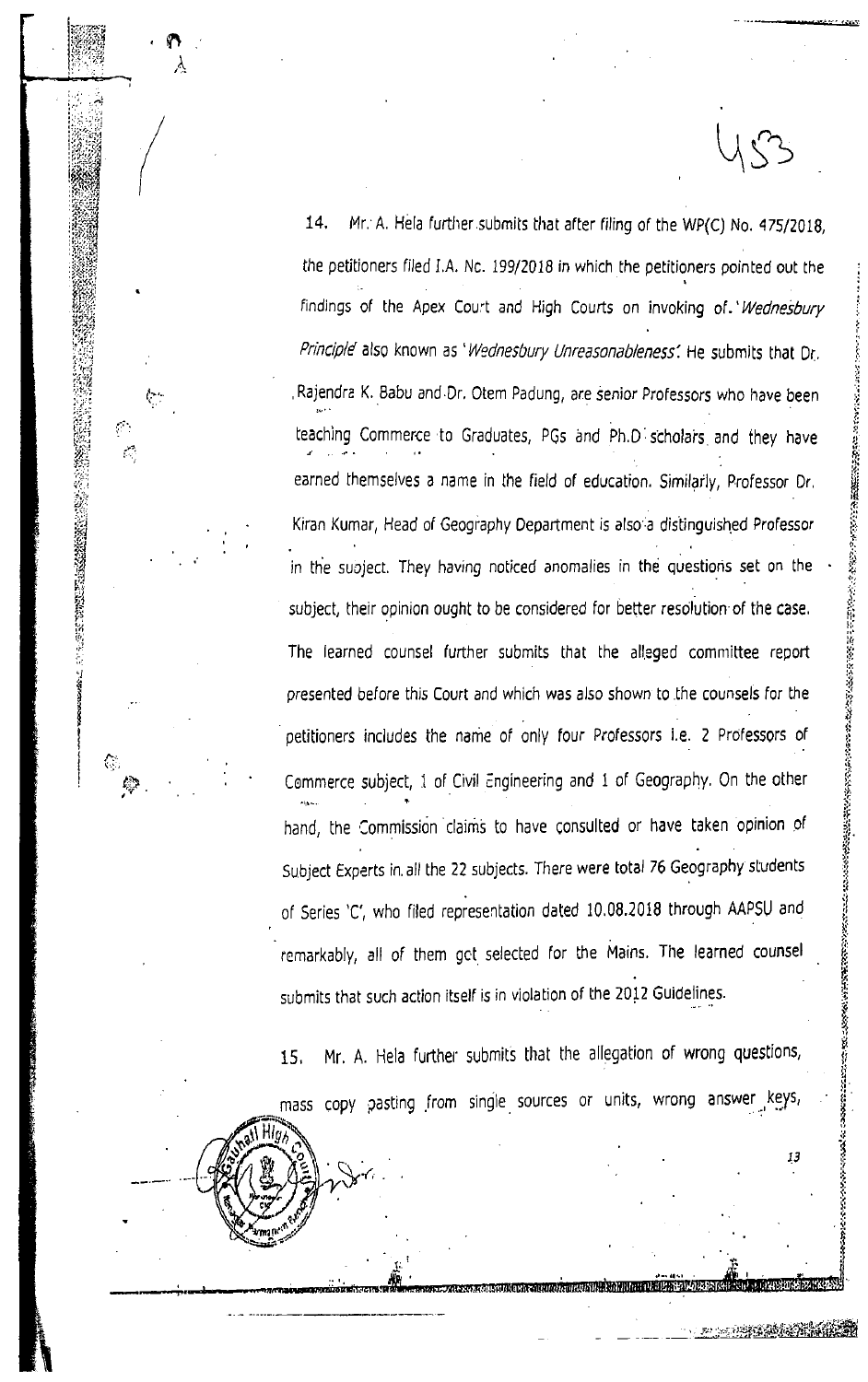$14.$ Mr. A. Hela further submits that after filing of the WP(C) No. 475/2018. the petitioners filed I.A. Nc. 199/2018 in which the petitioners pointed out the findings of the Apex Court and High Courts on invoking of. Wednesbury Principle also known as 'Wednesbury Unreasonableness'. He submits that Dr. Rajendra K. Babu and Dr. Otem Padung, are senior Professors who have been teaching Commerce to Graduates, PGs and Ph.D scholars and they have earned themselves a name in the field of education. Similarly, Professor Dr. Kiran Kumar, Head of Geography Department is also a distinguished Professor in the subject. They having noticed anomalies in the questions set on the subject, their opinion ought to be considered for better resolution of the case. The learned counsel further submits that the alleged committee report presented before this Court and which was also shown to the counsels for the petitioners includes the name of only four Professors i.e. 2 Professors of Commerce subject, 1 of Civil Engineering and 1 of Geography. On the other hand, the Commission claims to have consulted or have taken opinion of Subject Experts in all the 22 subjects. There were total 76 Geography students of Series 'C', who filed representation dated 10.08.2018 through AAPSU and remarkably, all of them got selected for the Mains. The learned counsel submits that such action itself is in violation of the 2012 Guidelines.

**地方的 医多种性的 医阴道 医阴道 医阴道 医阴道 医第一个 计数据库 医皮肤病 医心理学 医心理学 医心理学 医心理学 医心理学 医心理学 医心理学** 

 $\mathbb{Z}$ 

13

Mr. A. Hela further submits that the allegation of wrong questions, 15. mass copy pasting from single sources or units, wrong answer keys,

INGCIA AURUMANO ILIANDA DA MUTATI RAI ANDA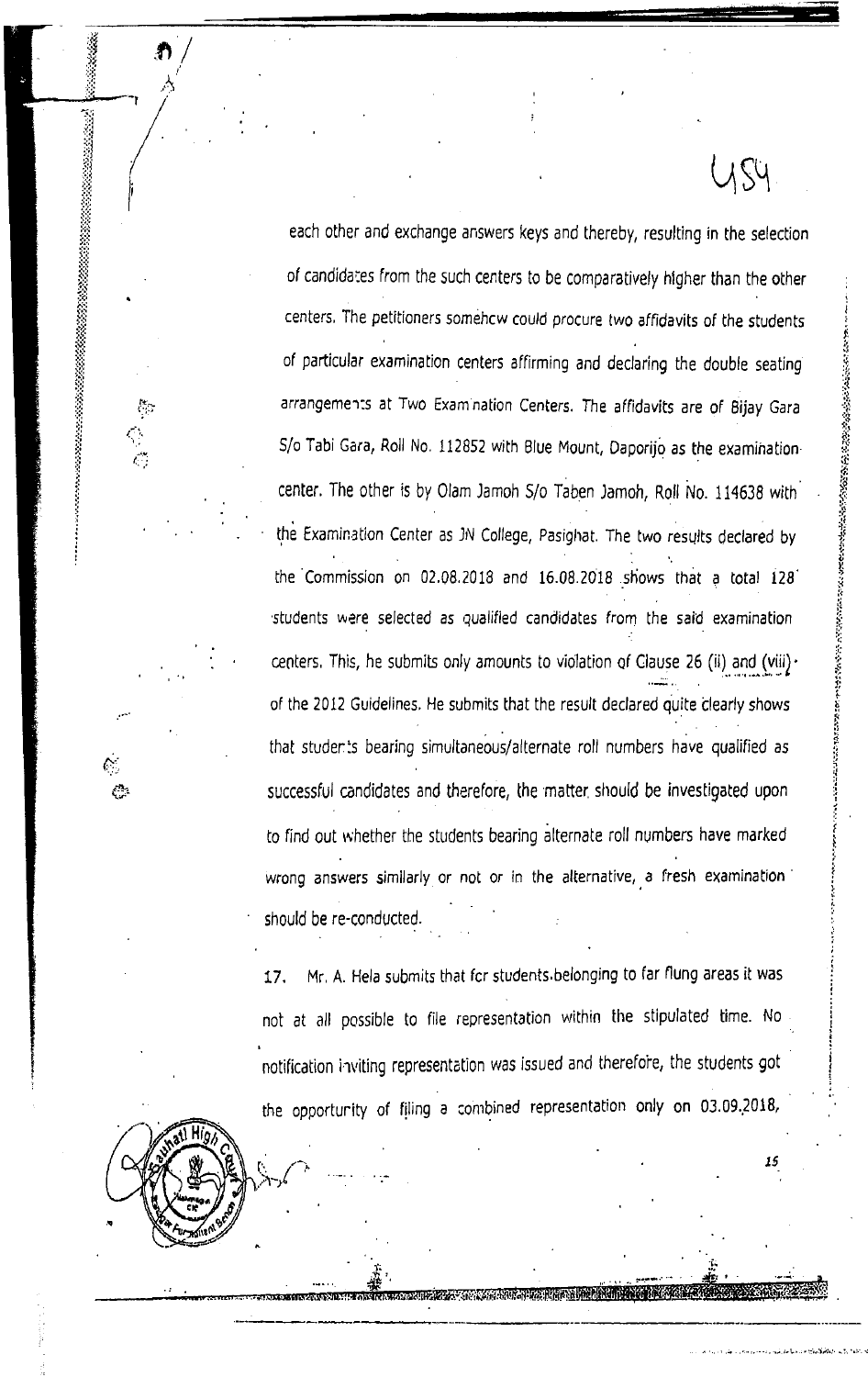each other and exchange answers keys and thereby, resulting in the selection of candidates from the such centers to be comparatively higher than the other centers. The petitioners somehow could procure two affidavits of the students of particular examination centers affirming and declaring the double seating arrangements at Two Examination Centers. The affidavits are of Bijay Gara S/o Tabi Gara, Roll No. 112852 with Blue Mount, Daporijo as the examinationcenter. The other is by Olam Jamoh S/o Taben Jamoh, Roll No. 114638 with the Examination Center as JN College, Pasighat. The two results declared by the Commission on 02.08.2018 and 16.08.2018 shows that a total 128 students were selected as qualified candidates from the said examination centers. This, he submits only amounts to violation of Clause 26 (ii) and (viii)  $\cdot$ of the 2012 Guidelines. He submits that the result declared quite clearly shows that students bearing simultaneous/alternate roll numbers have qualified as successful candidates and therefore, the matter should be investigated upon to find out whether the students bearing alternate roll numbers have marked wrong answers similarly or not or in the alternative, a fresh examination should be re-conducted.

US4

Mr. A. Hela submits that for students belonging to far flung areas it was 17. not at all possible to file representation within the stipulated time. No notification inviting representation was issued and therefore, the students got the opportunity of filing a combined representation only on 03.09.2018,

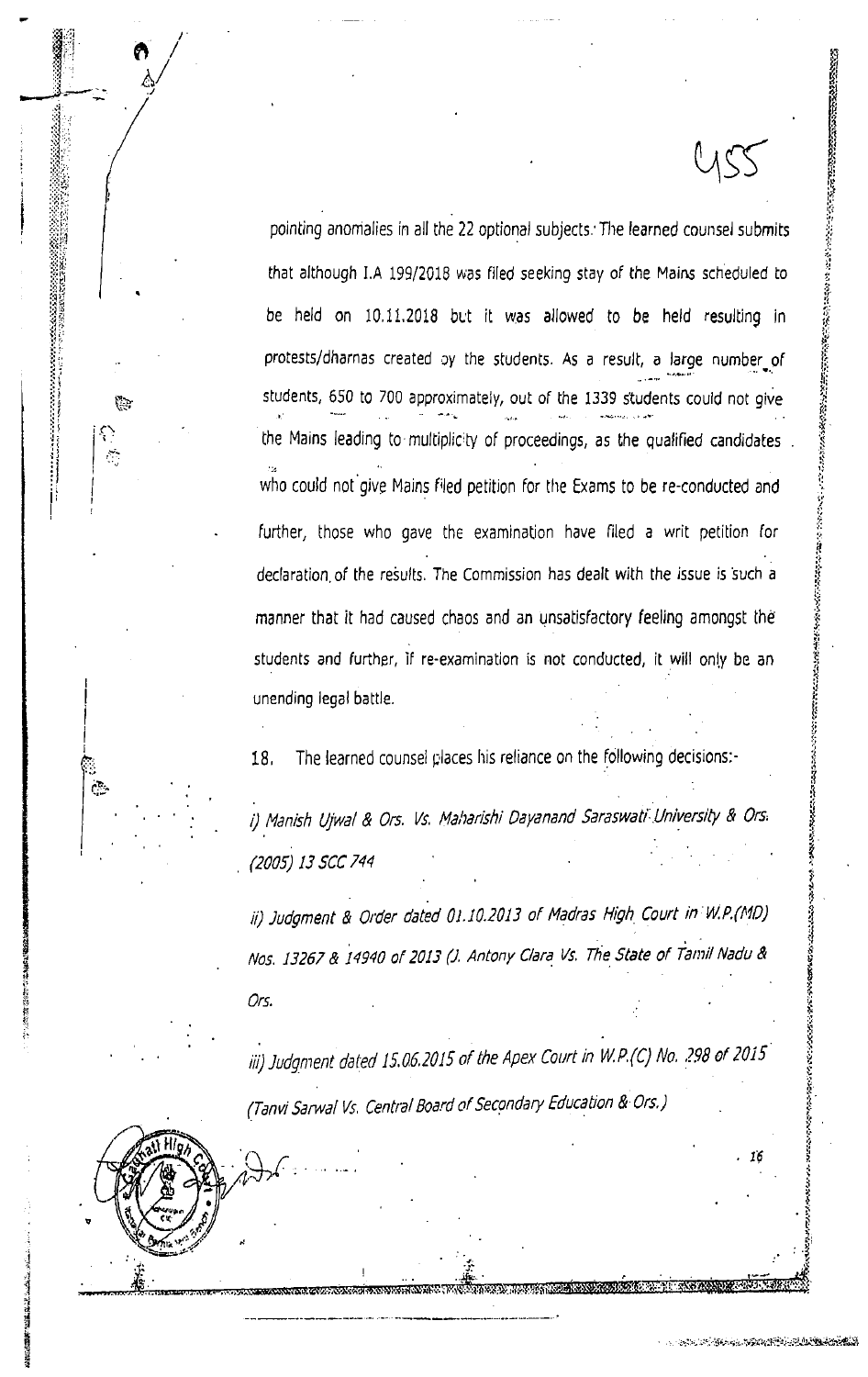pointing anomalies in all the 22 optional subjects. The learned counsel submits that although I.A 199/2018 was filed seeking stay of the Mains scheduled to be held on 10.11.2018 but it was allowed to be held resulting in protests/dharnas created by the students. As a result, a large number of students, 650 to 700 approximately, out of the 1339 students could not give the Mains leading to multiplicity of proceedings, as the qualified candidates who could not give Mains filed petition for the Exams to be re-conducted and further, those who gave the examination have filed a writ petition for declaration of the results. The Commission has dealt with the issue is such a manner that it had caused chaos and an unsatisfactory feeling amongst the students and further, if re-examination is not conducted, it will only be an unending legal battle.

The learned counsel places his reliance on the following decisions:-18.

ુ<br>તુવ

**ANGELIA ANG PARTICIPALAN ANG PARTICIPALAN** 

i) Manish Ujwal & Ors. Vs. Maharishi Dayanand Saraswati University & Ors. (2005) 13 SCC 744

ii) Judgment & Order dated 01.10.2013 of Madras High Court in W.P.(MD) Nos. 13267 & 14940 of 2013 (J. Antony Clara Vs. The State of Tamil Nadu & Ors.

iii) Judgment dated 15.06.2015 of the Apex Court in W.P.(C) No. 298 of 2015 (Tanvi Sarwal Vs. Central Board of Secondary Education & Ors.)

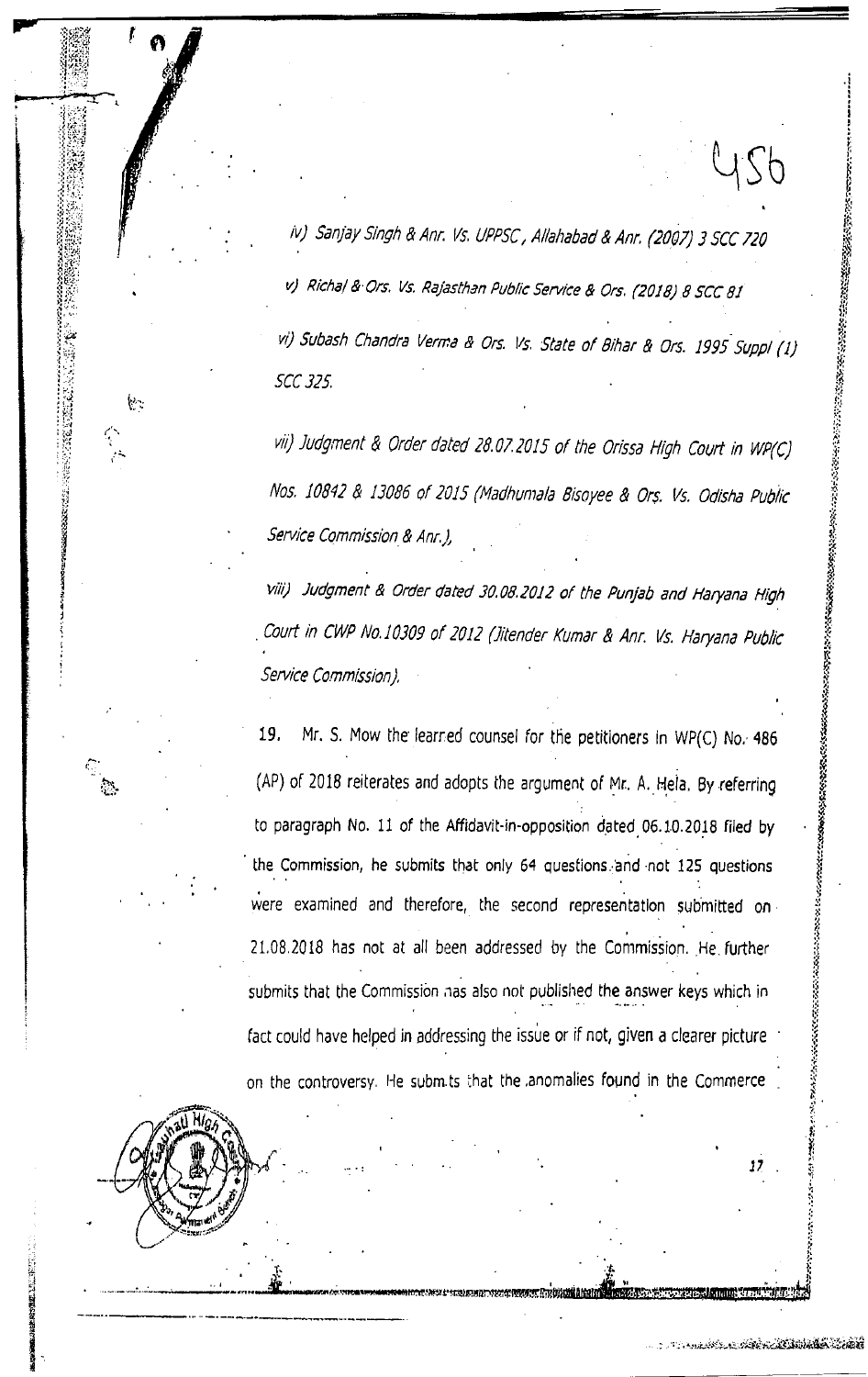iv) Sanjay Singh & Anr. Vs. UPPSC, Allahabad & Anr. (2007) 3 SCC 720 v) Richal & Ors. Vs. Rajasthan Public Service & Ors. (2018) 8 SCC 81 vi) Subash Chandra Verma & Ors. Vs. State of Bihar & Ors. 1995 Suppl (1)

**SCC 325** 

vii) Judgment & Order dated 28.07.2015 of the Orissa High Court in WP(C) Nos. 10842 & 13086 of 2015 (Madhumala Bisoyee & Ors. Vs. Odisha Public Service Commission & Anr. ),

viii) Judgment & Order dated 30.08.2012 of the Punjab and Haryana High Court in CWP No.10309 of 2012 (Jitender Kumar & Anr. Vs. Haryana Public Service Commission),

Mr. S. Mow the learned counsel for the petitioners in WP(C) No. 486 19. (AP) of 2018 reiterates and adopts the argument of Mr. A. Hela. By referring to paragraph No. 11 of the Affidavit-in-opposition dated 06.10.2018 filed by the Commission, he submits that only 64 questions and not 125 questions were examined and therefore, the second representation submitted on 21.08.2018 has not at all been addressed by the Commission. He further submits that the Commission has also not published the answer keys which in fact could have helped in addressing the issue or if not, given a clearer picture on the controversy. He submits that the anomalies found in the Commerce



 $\mathcal{C}$ 

्<br>र

医骨髓的 医指令性脑膜炎

YS6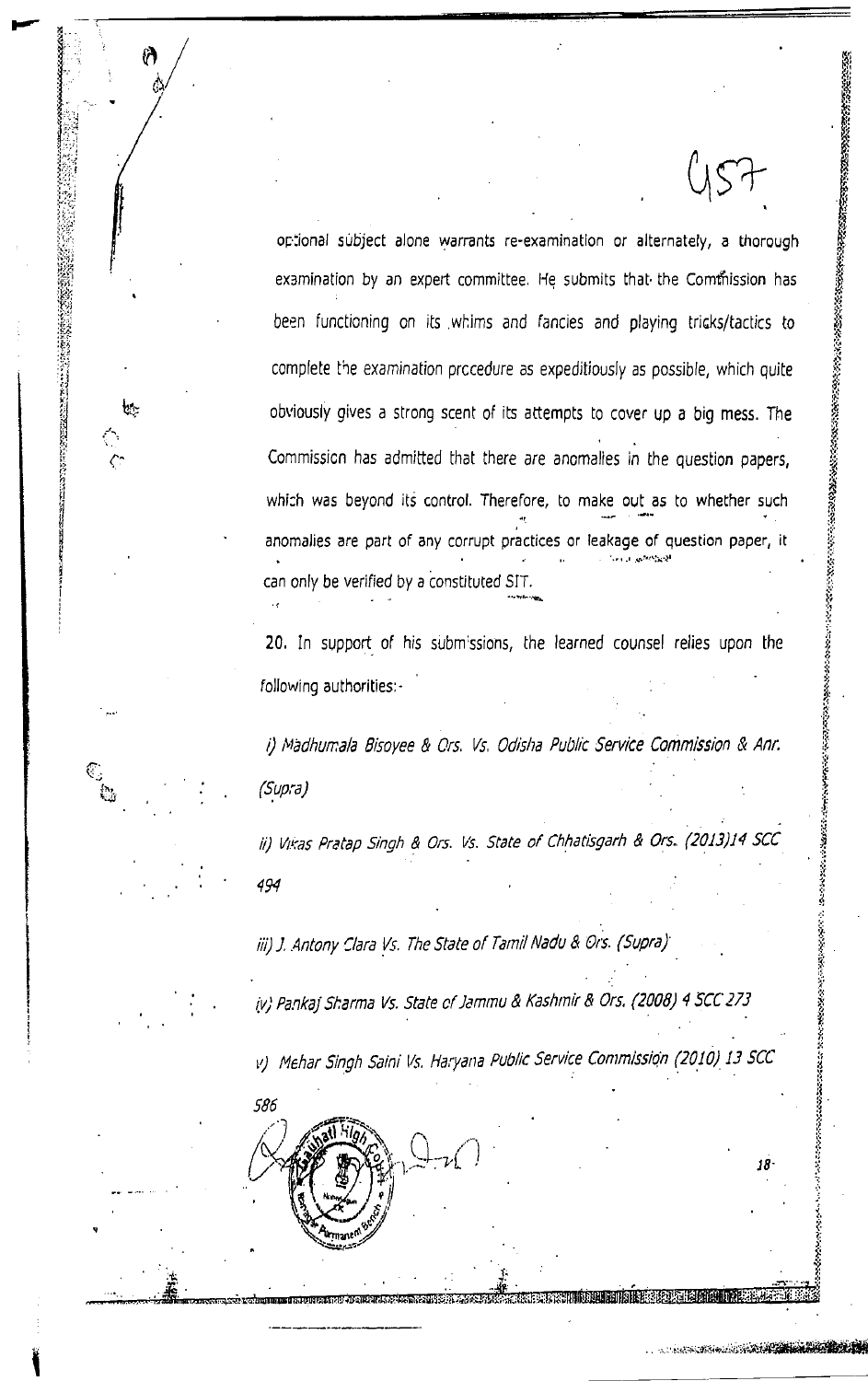optional subject alone warrants re-examination or alternately, a thorough examination by an expert committee. He submits that the Commission has been functioning on its whims and fancies and playing tricks/tactics to complete the examination procedure as expeditiously as possible, which quite obviously gives a strong scent of its attempts to cover up a big mess. The Commission has admitted that there are anomalies in the question papers, which was beyond its control. Therefore, to make out as to whether such anomalies are part of any corrupt practices or leakage of question paper, it can only be verified by a constituted SIT.

ျ

ゼ

C)<br>C

20. In support of his submissions, the learned counsel relies upon the following authorities -

**SANG AND A CONTRACTOR** 

i) Madhumala Bisoyee & Ors. Vs. Odisha Public Service Commission & Anr. (Supra)

ii) Vikas Pratap Singh & Ors. Vs. State of Chhatisgarh & Ors. (2013)14 SCC 494

iii) J. Antony Clara Vs. The State of Tamil Nadu & Ors. (Supra)

586

iv) Pankaj Sharma Vs. State of Jammu & Kashmir & Ors. (2008) 4 SCC 273

v) Mehar Singh Saini Vs. Haryana Public Service Commission (2010) 13 SCC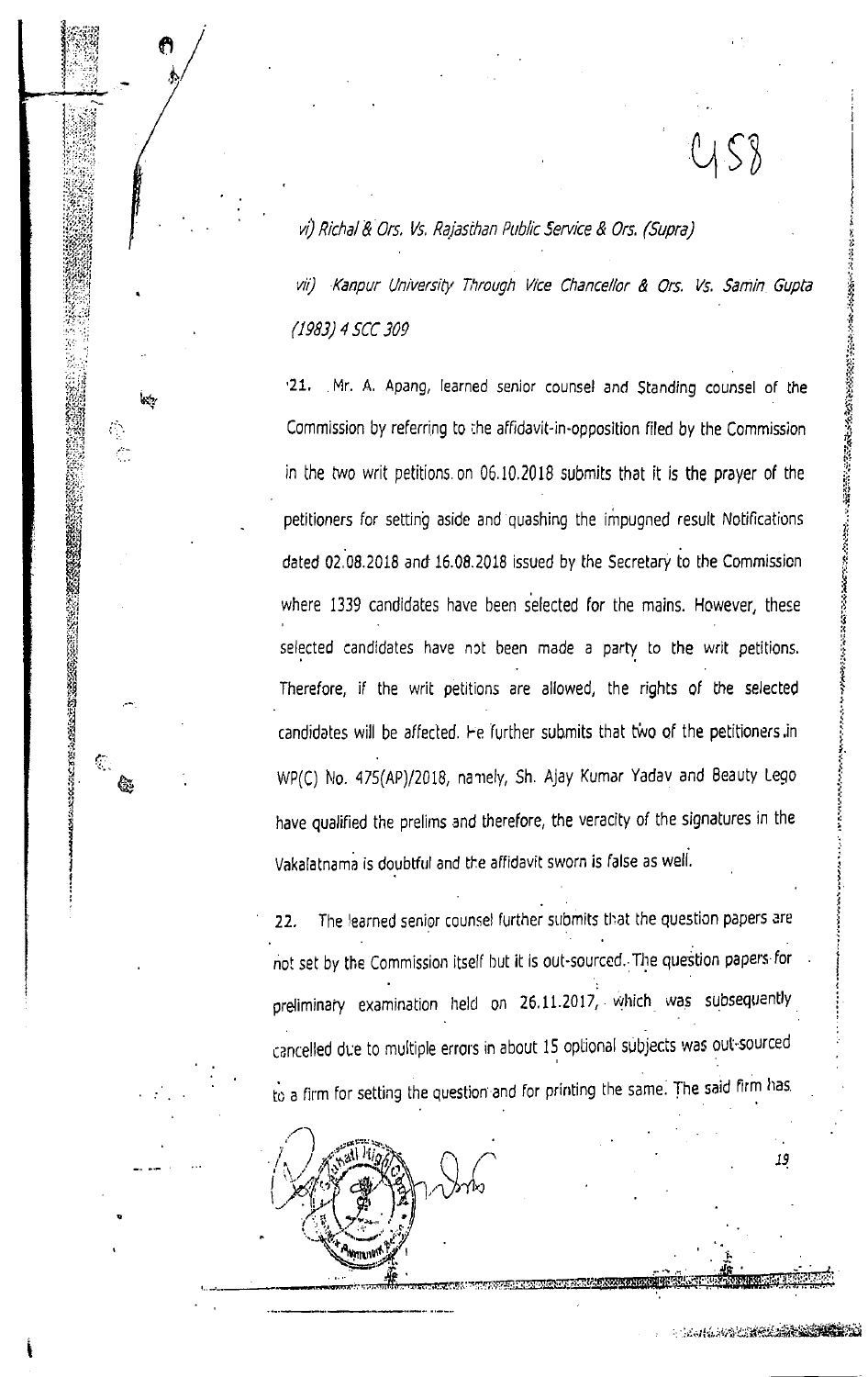vi) Richal & Ors. Vs. Rajasthan Public Service & Ors. (Supra)

 $\frac{1}{2}$ 

б.,

డి

vii) Kanpur University Through Vice Chancellor & Ors. Vs. Samin Gupta (1983) 4 SCC 309

 $21.$ Mr. A. Apang, learned senior counsel and Standing counsel of the Commission by referring to the affidavit-in-opposition filed by the Commission in the two writ petitions on 06.10.2018 submits that it is the prayer of the petitioners for setting aside and quashing the impugned result Notifications dated 02.08.2018 and 16.08.2018 issued by the Secretary to the Commission where 1339 candidates have been selected for the mains. However, these selected candidates have not been made a party to the writ petitions. Therefore, if the writ petitions are allowed, the rights of the selected candidates will be affected. He further submits that two of the petitioners in WP(C) No. 475(AP)/2018, namely, Sh. Ajay Kumar Yadav and Beauty Lego have qualified the prelims and therefore, the veracity of the signatures in the Vakalatnama is doubtful and the affidavit sworn is false as well.

19

**BEAT AND DESCRIPTION** 

The learned senior counsel further submits that the question papers are  $22.$ not set by the Commission itself but it is out-sourced. The question papers for preliminary examination held on 26.11.2017, which was subsequently cancelled due to multiple errors in about 15 optional subjects was out-sourced to a firm for setting the question and for printing the same. The said firm has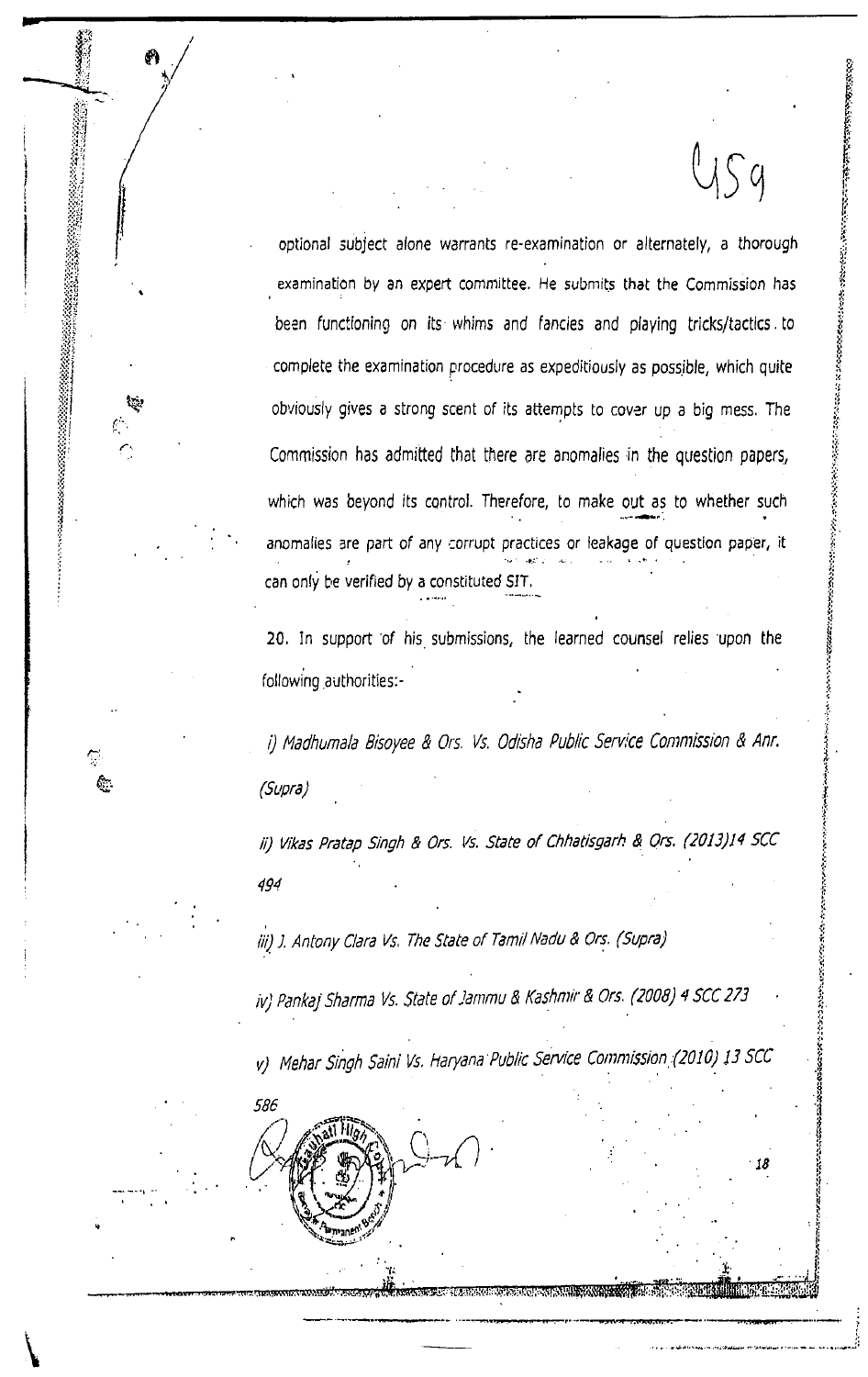optional subject alone warrants re-examination or alternately, a thorough examination by an expert committee. He submits that the Commission has been functioning on its whims and fancies and playing tricks/tactics to complete the examination procedure as expeditiously as possible, which quite obviously gives a strong scent of its attempts to cover up a big mess. The Commission has admitted that there are anomalies in the question papers, which was beyond its control. Therefore, to make out as to whether such anomalies are part of any corrupt practices or leakage of question paper, it can only be verified by a constituted SIT.

いちのこのこのこのことになっていっこう

18

20. In support of his submissions, the learned counsel relies upon the following authorities:-

i) Madhumala Bisoyee & Ors. Vs. Odisha Public Service Commission & Anr. (Supra)

ii) Vikas Pratap Singh & Ors. Vs. State of Chhatisgarh & Ors. (2013)14 SCC 494

iii) J. Antony Clara Vs. The State of Tamil Nadu & Ors. (Supra)

iv) Pankaj Sharma Vs. State of Jammu & Kashmir & Ors. (2008) 4 SCC 273

v) Mehar Singh Saini Vs. Haryana Public Service Commission (2010) 13 SCC

586

62.